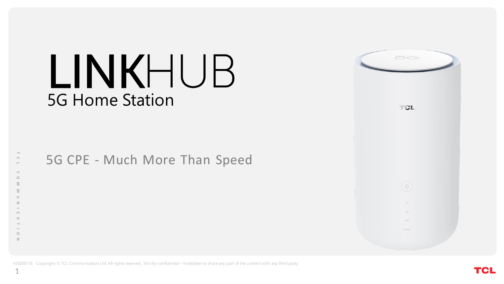# LINKHUB 5G Home Station

5G CPE - Much More Than Speed



V20200116 Copyright © TCL Communication Ltd. All rights reserved. Strictly confidential – forbidden to share any part of the content with any third party.

 $\rightarrow$  $\bigcap$  $\overline{\phantom{0}}$  $\cap$  $\circ$  $\overline{z}$ 

 $\bigcap$ 

 $\circ$  $\geq$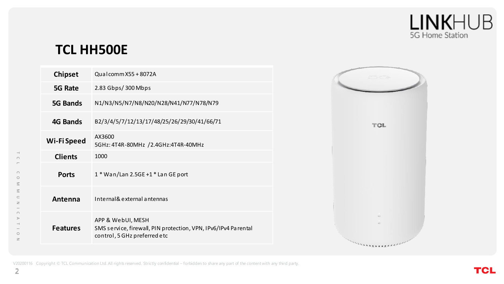

# **TCL HH500E**

| <b>Chipset</b>  | Qualcomm X55 + 8072A                                                                                                |
|-----------------|---------------------------------------------------------------------------------------------------------------------|
| 5G Rate         | 2.83 Gbps/ 300 Mbps                                                                                                 |
| 5G Bands        | N1/N3/N5/N7/N8/N20/N28/N41/N77/N78/N79                                                                              |
| 4G Bands        | B2/3/4/5/7/12/13/17/48/25/26/29/30/41/66/71                                                                         |
| Wi-Fi Speed     | AX3600<br>5GHz: 4T4R-80MHz /2.4GHz:4T4R-40MHz                                                                       |
| <b>Clients</b>  | 1000                                                                                                                |
| <b>Ports</b>    | $1 *$ Wan/Lan 2.5GE +1 $*$ Lan GE port                                                                              |
| Antenna         | Internal& external antennas                                                                                         |
| <b>Features</b> | APP & WebUI, MESH<br>SMS service, firewall, PIN protection, VPN, IPv6/IPv4 Parental<br>control, 5 GHz preferred etc |



V20200116 Copyright © TCL Communication Ltd. All rights reserved. Strictly confidential – forbidden to share any part of the content with any third party.

 $\hspace{0.1mm} \dashv$  $\circ$  $\overline{a}$  $\circ$  $\circ$  $\leq$  $\leq$  $\subset$  $\geq$  $\overline{\phantom{0}}$  $\bigcap$  $\triangleright$  $\rightarrow$  $\overline{\phantom{a}}$  $\circ$  $\geq$